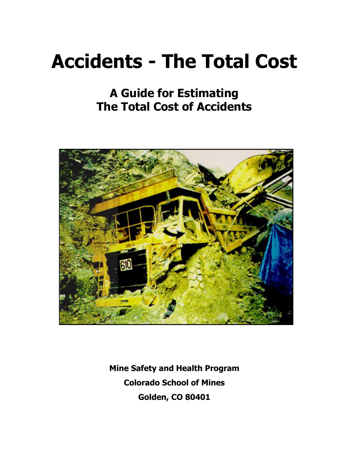# **Accidents - The Total Cost**

# **A Guide for Estimating The Total Cost of Accidents**



**Mine Safety and Health Program Colorado School of Mines Golden, CO 80401**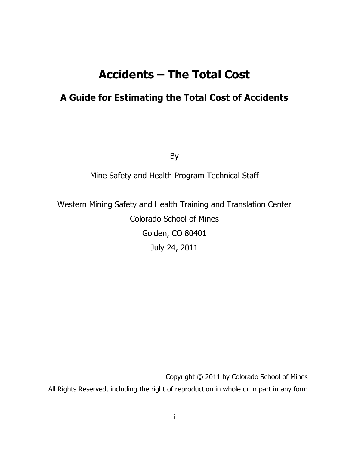# **Accidents – The Total Cost**

# **A Guide for Estimating the Total Cost of Accidents**

By

#### Mine Safety and Health Program Technical Staff

Western Mining Safety and Health Training and Translation Center Colorado School of Mines Golden, CO 80401 July 24, 2011

Copyright © 2011 by Colorado School of Mines All Rights Reserved, including the right of reproduction in whole or in part in any form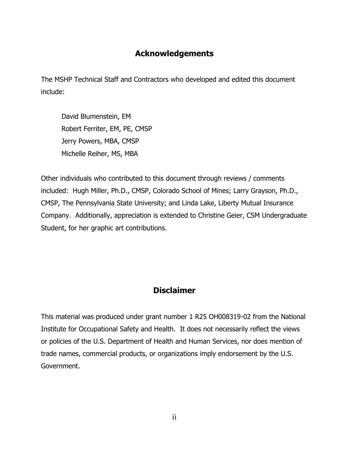## **Acknowledgements**

The MSHP Technical Staff and Contractors who developed and edited this document include:

David Blumenstein, EM Robert Ferriter, EM, PE, CMSP Jerry Powers, MBA, CMSP Michelle Reiher, MS, MBA

Other individuals who contributed to this document through reviews / comments included: Hugh Miller, Ph.D., CMSP, Colorado School of Mines; Larry Grayson, Ph.D., CMSP, The Pennsylvania State University; and Linda Lake, Liberty Mutual Insurance Company. Additionally, appreciation is extended to Christine Geier, CSM Undergraduate Student, for her graphic art contributions.

## **Disclaimer**

This material was produced under grant number 1 R25 OH008319-02 from the National Institute for Occupational Safety and Health. It does not necessarily reflect the views or policies of the U.S. Department of Health and Human Services, nor does mention of trade names, commercial products, or organizations imply endorsement by the U.S. Government.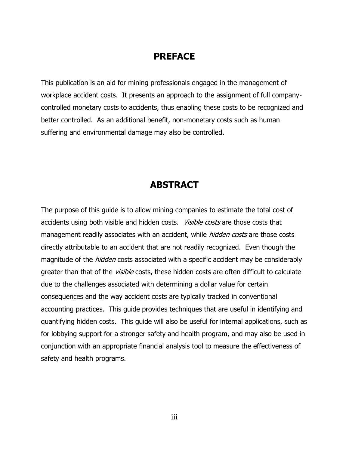## **PREFACE**

This publication is an aid for mining professionals engaged in the management of workplace accident costs. It presents an approach to the assignment of full companycontrolled monetary costs to accidents, thus enabling these costs to be recognized and better controlled. As an additional benefit, non-monetary costs such as human suffering and environmental damage may also be controlled.

# **ABSTRACT**

The purpose of this guide is to allow mining companies to estimate the total cost of accidents using both visible and hidden costs. Visible costs are those costs that management readily associates with an accident, while *hidden costs* are those costs directly attributable to an accident that are not readily recognized. Even though the magnitude of the *hidden* costs associated with a specific accident may be considerably greater than that of the *visible* costs, these hidden costs are often difficult to calculate due to the challenges associated with determining a dollar value for certain consequences and the way accident costs are typically tracked in conventional accounting practices. This guide provides techniques that are useful in identifying and quantifying hidden costs. This guide will also be useful for internal applications, such as for lobbying support for a stronger safety and health program, and may also be used in conjunction with an appropriate financial analysis tool to measure the effectiveness of safety and health programs.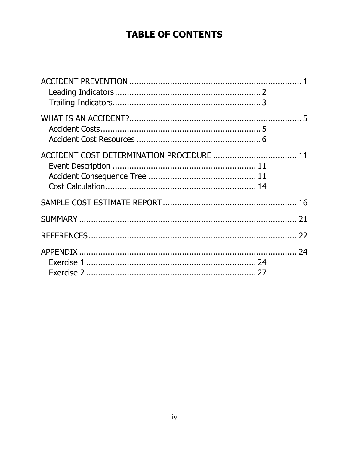# **TABLE OF CONTENTS**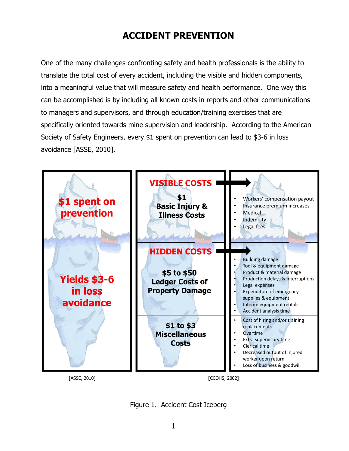# **ACCIDENT PREVENTION**

<span id="page-5-0"></span>One of the many challenges confronting safety and health professionals is the ability to translate the total cost of every accident, including the visible and hidden components, into a meaningful value that will measure safety and health performance. One way this can be accomplished is by including all known costs in reports and other communications to managers and supervisors, and through education/training exercises that are specifically oriented towards mine supervision and leadership. According to the American Society of Safety Engineers, every \$1 spent on prevention can lead to \$3-6 in loss avoidance [ASSE, 2010].



Figure 1. Accident Cost Iceberg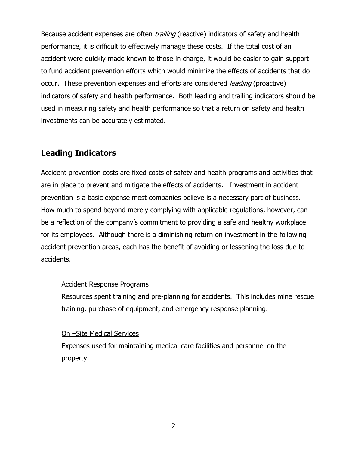Because accident expenses are often *trailing* (reactive) indicators of safety and health performance, it is difficult to effectively manage these costs. If the total cost of an accident were quickly made known to those in charge, it would be easier to gain support to fund accident prevention efforts which would minimize the effects of accidents that do occur. These prevention expenses and efforts are considered *leading* (proactive) indicators of safety and health performance. Both leading and trailing indicators should be used in measuring safety and health performance so that a return on safety and health investments can be accurately estimated.

## <span id="page-6-0"></span>**Leading Indicators**

Accident prevention costs are fixed costs of safety and health programs and activities that are in place to prevent and mitigate the effects of accidents. Investment in accident prevention is a basic expense most companies believe is a necessary part of business. How much to spend beyond merely complying with applicable regulations, however, can be a reflection of the company's commitment to providing a safe and healthy workplace for its employees. Although there is a diminishing return on investment in the following accident prevention areas, each has the benefit of avoiding or lessening the loss due to accidents.

#### Accident Response Programs

Resources spent training and pre-planning for accidents. This includes mine rescue training, purchase of equipment, and emergency response planning.

#### On –Site Medical Services

Expenses used for maintaining medical care facilities and personnel on the property.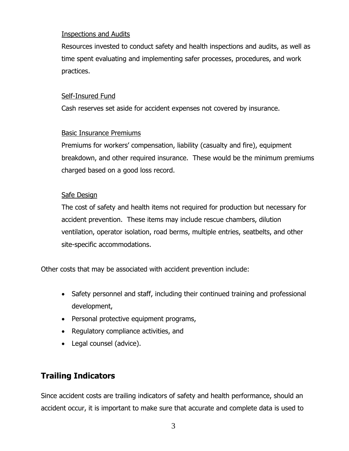#### Inspections and Audits

Resources invested to conduct safety and health inspections and audits, as well as time spent evaluating and implementing safer processes, procedures, and work practices.

#### Self-Insured Fund

Cash reserves set aside for accident expenses not covered by insurance.

#### Basic Insurance Premiums

Premiums for workers' compensation, liability (casualty and fire), equipment breakdown, and other required insurance. These would be the minimum premiums charged based on a good loss record.

#### Safe Design

The cost of safety and health items not required for production but necessary for accident prevention. These items may include rescue chambers, dilution ventilation, operator isolation, road berms, multiple entries, seatbelts, and other site-specific accommodations.

Other costs that may be associated with accident prevention include:

- Safety personnel and staff, including their continued training and professional development,
- Personal protective equipment programs,
- Regulatory compliance activities, and
- Legal counsel (advice).

## <span id="page-7-0"></span>**Trailing Indicators**

Since accident costs are trailing indicators of safety and health performance, should an accident occur, it is important to make sure that accurate and complete data is used to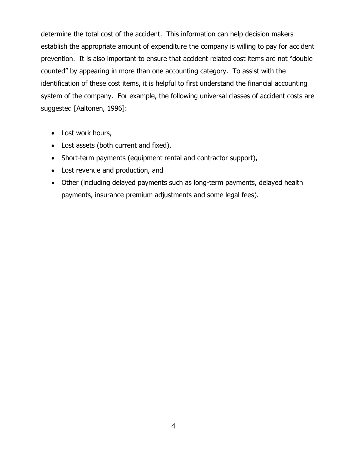determine the total cost of the accident. This information can help decision makers establish the appropriate amount of expenditure the company is willing to pay for accident prevention. It is also important to ensure that accident related cost items are not "double counted" by appearing in more than one accounting category. To assist with the identification of these cost items, it is helpful to first understand the financial accounting system of the company. For example, the following universal classes of accident costs are suggested [Aaltonen, 1996]:

- Lost work hours,
- Lost assets (both current and fixed),
- Short-term payments (equipment rental and contractor support),
- Lost revenue and production, and
- Other (including delayed payments such as long-term payments, delayed health payments, insurance premium adjustments and some legal fees).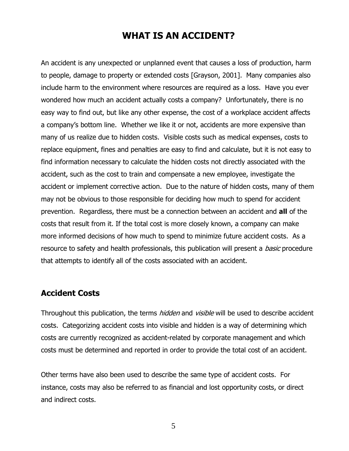## **WHAT IS AN ACCIDENT?**

<span id="page-9-0"></span>An accident is any unexpected or unplanned event that causes a loss of production, harm to people, damage to property or extended costs [Grayson, 2001]. Many companies also include harm to the environment where resources are required as a loss. Have you ever wondered how much an accident actually costs a company? Unfortunately, there is no easy way to find out, but like any other expense, the cost of a workplace accident affects a company's bottom line. Whether we like it or not, accidents are more expensive than many of us realize due to hidden costs. Visible costs such as medical expenses, costs to replace equipment, fines and penalties are easy to find and calculate, but it is not easy to find information necessary to calculate the hidden costs not directly associated with the accident, such as the cost to train and compensate a new employee, investigate the accident or implement corrective action. Due to the nature of hidden costs, many of them may not be obvious to those responsible for deciding how much to spend for accident prevention. Regardless, there must be a connection between an accident and **all** of the costs that result from it. If the total cost is more closely known, a company can make more informed decisions of how much to spend to minimize future accident costs. As a resource to safety and health professionals, this publication will present a *basic* procedure that attempts to identify all of the costs associated with an accident.

#### <span id="page-9-1"></span>**Accident Costs**

Throughout this publication, the terms *hidden* and *visible* will be used to describe accident costs. Categorizing accident costs into visible and hidden is a way of determining which costs are currently recognized as accident-related by corporate management and which costs must be determined and reported in order to provide the total cost of an accident.

Other terms have also been used to describe the same type of accident costs. For instance, costs may also be referred to as financial and lost opportunity costs, or direct and indirect costs.

5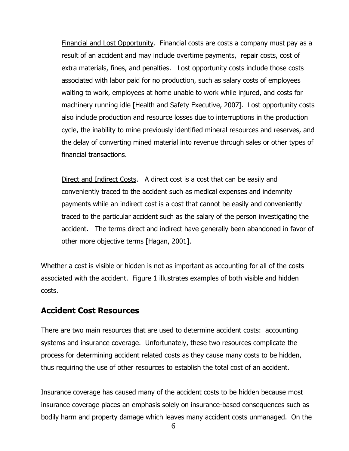Financial and Lost Opportunity. Financial costs are costs a company must pay as a result of an accident and may include overtime payments, repair costs, cost of extra materials, fines, and penalties. Lost opportunity costs include those costs associated with labor paid for no production, such as salary costs of employees waiting to work, employees at home unable to work while injured, and costs for machinery running idle [Health and Safety Executive, 2007]. Lost opportunity costs also include production and resource losses due to interruptions in the production cycle, the inability to mine previously identified mineral resources and reserves, and the delay of converting mined material into revenue through sales or other types of financial transactions.

Direct and Indirect Costs. A direct cost is a cost that can be easily and conveniently traced to the accident such as medical expenses and indemnity payments while an indirect cost is a cost that cannot be easily and conveniently traced to the particular accident such as the salary of the person investigating the accident. The terms direct and indirect have generally been abandoned in favor of other more objective terms [Hagan, 2001].

Whether a cost is visible or hidden is not as important as accounting for all of the costs associated with the accident. Figure 1 illustrates examples of both visible and hidden costs.

#### <span id="page-10-0"></span>**Accident Cost Resources**

There are two main resources that are used to determine accident costs: accounting systems and insurance coverage. Unfortunately, these two resources complicate the process for determining accident related costs as they cause many costs to be hidden, thus requiring the use of other resources to establish the total cost of an accident.

Insurance coverage has caused many of the accident costs to be hidden because most insurance coverage places an emphasis solely on insurance-based consequences such as bodily harm and property damage which leaves many accident costs unmanaged. On the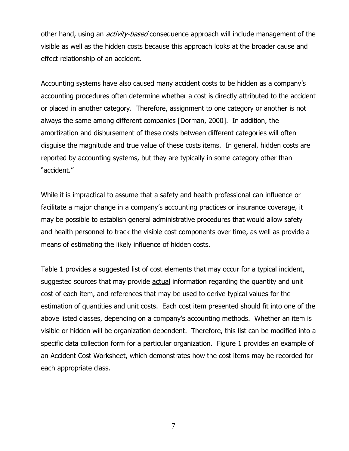other hand, using an *activity-based* consequence approach will include management of the visible as well as the hidden costs because this approach looks at the broader cause and effect relationship of an accident.

Accounting systems have also caused many accident costs to be hidden as a company's accounting procedures often determine whether a cost is directly attributed to the accident or placed in another category. Therefore, assignment to one category or another is not always the same among different companies [Dorman, 2000]. In addition, the amortization and disbursement of these costs between different categories will often disguise the magnitude and true value of these costs items. In general, hidden costs are reported by accounting systems, but they are typically in some category other than "accident."

While it is impractical to assume that a safety and health professional can influence or facilitate a major change in a company's accounting practices or insurance coverage, it may be possible to establish general administrative procedures that would allow safety and health personnel to track the visible cost components over time, as well as provide a means of estimating the likely influence of hidden costs.

Table 1 provides a suggested list of cost elements that may occur for a typical incident, suggested sources that may provide **actual** information regarding the quantity and unit cost of each item, and references that may be used to derive typical values for the estimation of quantities and unit costs. Each cost item presented should fit into one of the above listed classes, depending on a company's accounting methods. Whether an item is visible or hidden will be organization dependent. Therefore, this list can be modified into a specific data collection form for a particular organization. Figure 1 provides an example of an Accident Cost Worksheet, which demonstrates how the cost items may be recorded for each appropriate class.

7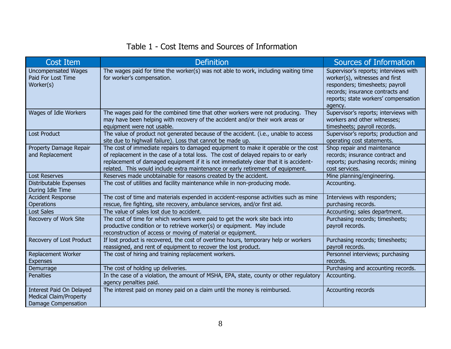# Table 1 - Cost Items and Sources of Information

| <b>Cost Item</b>                                                                 | <b>Definition</b>                                                                                                                                                                                                                                                                                                                                    | Sources of Information                                                                                                                                                                            |
|----------------------------------------------------------------------------------|------------------------------------------------------------------------------------------------------------------------------------------------------------------------------------------------------------------------------------------------------------------------------------------------------------------------------------------------------|---------------------------------------------------------------------------------------------------------------------------------------------------------------------------------------------------|
| <b>Uncompensated Wages</b><br>Paid For Lost Time<br>Worker(s)                    | The wages paid for time the worker(s) was not able to work, including waiting time<br>for worker's compensation.                                                                                                                                                                                                                                     | Supervisor's reports; interviews with<br>worker(s), witnesses and first<br>responders; timesheets; payroll<br>records; insurance contracts and<br>reports; state workers' compensation<br>agency. |
| Wages of Idle Workers                                                            | The wages paid for the combined time that other workers were not producing. They<br>may have been helping with recovery of the accident and/or their work areas or<br>equipment were not usable.                                                                                                                                                     | Supervisor's reports; interviews with<br>workers and other witnesses;<br>timesheets; payroll records.                                                                                             |
| <b>Lost Product</b>                                                              | The value of product not generated because of the accident. (i.e., unable to access<br>site due to highwall failure). Loss that cannot be made up.                                                                                                                                                                                                   | Supervisor's reports; production and<br>operating cost statements.                                                                                                                                |
| Property Damage Repair<br>and Replacement                                        | The cost of immediate repairs to damaged equipment to make it operable or the cost<br>of replacement in the case of a total loss. The cost of delayed repairs to or early<br>replacement of damaged equipment if it is not immediately clear that it is accident-<br>related. This would include extra maintenance or early retirement of equipment. | Shop repair and maintenance<br>records; insurance contract and<br>reports; purchasing records; mining<br>cost services.                                                                           |
| <b>Lost Reserves</b>                                                             | Reserves made unobtainable for reasons created by the accident.                                                                                                                                                                                                                                                                                      | Mine planning/engineering.                                                                                                                                                                        |
| Distributable Expenses<br>During Idle Time                                       | The cost of utilities and facility maintenance while in non-producing mode.                                                                                                                                                                                                                                                                          | Accounting.                                                                                                                                                                                       |
| <b>Accident Response</b><br>Operations                                           | The cost of time and materials expended in accident-response activities such as mine<br>rescue, fire fighting, site recovery, ambulance services, and/or first aid.                                                                                                                                                                                  | Interviews with responders;<br>purchasing records.                                                                                                                                                |
| <b>Lost Sales</b>                                                                | The value of sales lost due to accident.                                                                                                                                                                                                                                                                                                             | Accounting; sales department.                                                                                                                                                                     |
| Recovery of Work Site                                                            | The cost of time for which workers were paid to get the work site back into<br>productive condition or to retrieve worker(s) or equipment. May include<br>reconstruction of access or moving of material or equipment.                                                                                                                               | Purchasing records; timesheets;<br>payroll records.                                                                                                                                               |
| Recovery of Lost Product                                                         | If lost product is recovered, the cost of overtime hours, temporary help or workers<br>reassigned, and rent of equipment to recover the lost product.                                                                                                                                                                                                | Purchasing records; timesheets;<br>payroll records.                                                                                                                                               |
| Replacement Worker<br><b>Expenses</b>                                            | The cost of hiring and training replacement workers.                                                                                                                                                                                                                                                                                                 | Personnel interviews; purchasing<br>records.                                                                                                                                                      |
| Demurrage                                                                        | The cost of holding up deliveries.                                                                                                                                                                                                                                                                                                                   | Purchasing and accounting records.                                                                                                                                                                |
| <b>Penalties</b>                                                                 | In the case of a violation, the amount of MSHA, EPA, state, county or other regulatory<br>agency penalties paid.                                                                                                                                                                                                                                     | Accounting.                                                                                                                                                                                       |
| Interest Paid On Delayed<br><b>Medical Claim/Property</b><br>Damage Compensation | The interest paid on money paid on a claim until the money is reimbursed.                                                                                                                                                                                                                                                                            | Accounting records                                                                                                                                                                                |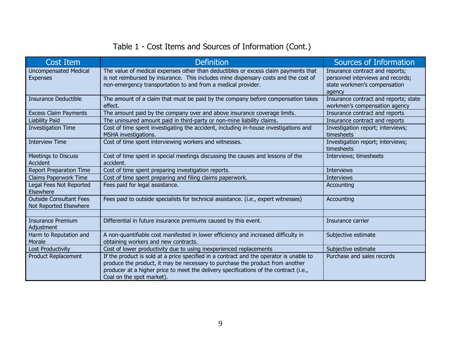# Table 1 - Cost Items and Sources of Information (Cont.)

| Cost Item                                                | <b>Definition</b>                                                                                                                                                                                                                                                                              | Sources of Information                                                                                         |
|----------------------------------------------------------|------------------------------------------------------------------------------------------------------------------------------------------------------------------------------------------------------------------------------------------------------------------------------------------------|----------------------------------------------------------------------------------------------------------------|
| <b>Uncompensated Medical</b><br><b>Expenses</b>          | The value of medical expenses other than deductibles or excess claim payments that<br>is not reimbursed by insurance. This includes mine dispensary costs and the cost of<br>non-emergency transportation to and from a medical provider.                                                      | Insurance contract and reports;<br>personnel interviews and records;<br>state workmen's compensation<br>agency |
| <b>Insurance Deductible</b>                              | The amount of a claim that must be paid by the company before compensation takes<br>effect.                                                                                                                                                                                                    | Insurance contract and reports; state<br>workmen's compensation agency                                         |
| <b>Excess Claim Payments</b>                             | The amount paid by the company over and above insurance coverage limits.                                                                                                                                                                                                                       | Insurance contract and reports                                                                                 |
| Liability Paid                                           | The uninsured amount paid in third-party or non-mine liability claims.                                                                                                                                                                                                                         | Insurance contract and reports                                                                                 |
| <b>Investigation Time</b>                                | Cost of time spent investigating the accident, including in-house investigations and<br>MSHA investigations.                                                                                                                                                                                   | Investigation report; interviews;<br>timesheets                                                                |
| <b>Interview Time</b>                                    | Cost of time spent interviewing workers and witnesses.                                                                                                                                                                                                                                         | Investigation report; interviews;<br>timesheets                                                                |
| <b>Meetings to Discuss</b><br><b>Accident</b>            | Cost of time spent in special meetings discussing the causes and lessons of the<br>accident.                                                                                                                                                                                                   | Interviews; timesheets                                                                                         |
| <b>Report Preparation Time</b>                           | Cost of time spent preparing investigation reports.                                                                                                                                                                                                                                            | <b>Interviews</b>                                                                                              |
| Claims Paperwork Time                                    | Cost of time spent preparing and filing claims paperwork.                                                                                                                                                                                                                                      | <b>Interviews</b>                                                                                              |
| Legal Fees Not Reported<br>Elsewhere                     | Fees paid for legal assistance.                                                                                                                                                                                                                                                                | Accounting                                                                                                     |
| <b>Outside Consultant Fees</b><br>Not Reported Elsewhere | Fees paid to outside specialists for technical assistance. (i.e., expert witnesses)                                                                                                                                                                                                            | Accounting                                                                                                     |
|                                                          |                                                                                                                                                                                                                                                                                                |                                                                                                                |
| <b>Insurance Premium</b><br>Adjustment                   | Differential in future insurance premiums caused by this event.                                                                                                                                                                                                                                | Insurance carrier                                                                                              |
| Harm to Reputation and<br>Morale                         | A non-quantifiable cost manifested in lower efficiency and increased difficulty in<br>obtaining workers and new contracts.                                                                                                                                                                     | Subjective estimate                                                                                            |
| <b>Lost Productivity</b>                                 | Cost of lower productivity due to using inexperienced replacements                                                                                                                                                                                                                             | Subjective estimate                                                                                            |
| <b>Product Replacement</b>                               | If the product is sold at a price specified in a contract and the operator is unable to<br>produce the product, it may be necessary to purchase the product from another<br>producer at a higher price to meet the delivery specifications of the contract (i.e.,<br>Coal on the spot market). | Purchase and sales records                                                                                     |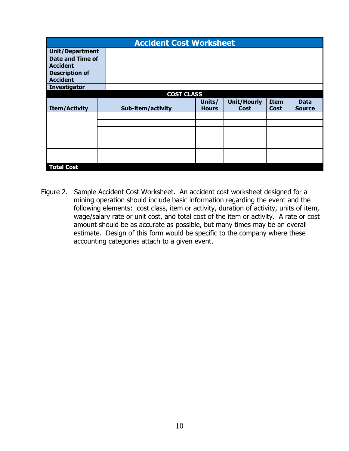| <b>Accident Cost Worksheet</b>             |  |                   |                        |                            |                            |                              |
|--------------------------------------------|--|-------------------|------------------------|----------------------------|----------------------------|------------------------------|
| <b>Unit/Department</b>                     |  |                   |                        |                            |                            |                              |
| <b>Date and Time of</b><br><b>Accident</b> |  |                   |                        |                            |                            |                              |
| <b>Description of</b><br><b>Accident</b>   |  |                   |                        |                            |                            |                              |
| <b>Investigator</b>                        |  |                   |                        |                            |                            |                              |
|                                            |  | <b>COST CLASS</b> |                        |                            |                            |                              |
| <b>Item/Activity</b>                       |  | Sub-item/activity | Units/<br><b>Hours</b> | <b>Unit/Hourly</b><br>Cost | <b>Item</b><br><b>Cost</b> | <b>Data</b><br><b>Source</b> |
|                                            |  |                   |                        |                            |                            |                              |
|                                            |  |                   |                        |                            |                            |                              |
|                                            |  |                   |                        |                            |                            |                              |
|                                            |  |                   |                        |                            |                            |                              |
|                                            |  |                   |                        |                            |                            |                              |
|                                            |  |                   |                        |                            |                            |                              |
|                                            |  |                   |                        |                            |                            |                              |
| <b>Total Cost</b>                          |  |                   |                        |                            |                            |                              |

Figure 2. Sample Accident Cost Worksheet. An accident cost worksheet designed for a mining operation should include basic information regarding the event and the following elements: cost class, item or activity, duration of activity, units of item, wage/salary rate or unit cost, and total cost of the item or activity. A rate or cost amount should be as accurate as possible, but many times may be an overall estimate. Design of this form would be specific to the company where these accounting categories attach to a given event.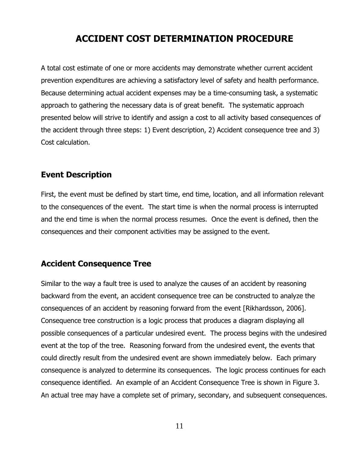# **ACCIDENT COST DETERMINATION PROCEDURE**

<span id="page-15-0"></span>A total cost estimate of one or more accidents may demonstrate whether current accident prevention expenditures are achieving a satisfactory level of safety and health performance. Because determining actual accident expenses may be a time-consuming task, a systematic approach to gathering the necessary data is of great benefit. The systematic approach presented below will strive to identify and assign a cost to all activity based consequences of the accident through three steps: 1) Event description, 2) Accident consequence tree and 3) Cost calculation.

#### <span id="page-15-1"></span>**Event Description**

First, the event must be defined by start time, end time, location, and all information relevant to the consequences of the event. The start time is when the normal process is interrupted and the end time is when the normal process resumes. Once the event is defined, then the consequences and their component activities may be assigned to the event.

#### <span id="page-15-2"></span>**Accident Consequence Tree**

Similar to the way a fault tree is used to analyze the causes of an accident by reasoning backward from the event, an accident consequence tree can be constructed to analyze the consequences of an accident by reasoning forward from the event [Rikhardsson, 2006]. Consequence tree construction is a logic process that produces a diagram displaying all possible consequences of a particular undesired event. The process begins with the undesired event at the top of the tree. Reasoning forward from the undesired event, the events that could directly result from the undesired event are shown immediately below. Each primary consequence is analyzed to determine its consequences. The logic process continues for each consequence identified. An example of an Accident Consequence Tree is shown in Figure 3. An actual tree may have a complete set of primary, secondary, and subsequent consequences.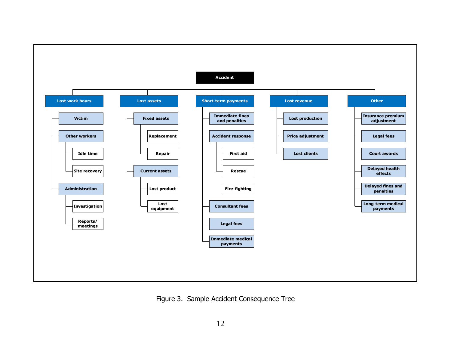

Figure 3. Sample Accident Consequence Tree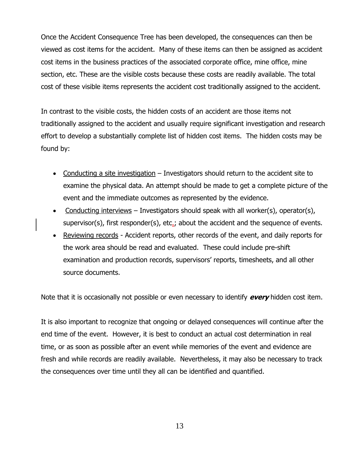Once the Accident Consequence Tree has been developed, the consequences can then be viewed as cost items for the accident. Many of these items can then be assigned as accident cost items in the business practices of the associated corporate office, mine office, mine section, etc. These are the visible costs because these costs are readily available. The total cost of these visible items represents the accident cost traditionally assigned to the accident.

In contrast to the visible costs, the hidden costs of an accident are those items not traditionally assigned to the accident and usually require significant investigation and research effort to develop a substantially complete list of hidden cost items. The hidden costs may be found by:

- Conducting a site investigation Investigators should return to the accident site to examine the physical data. An attempt should be made to get a complete picture of the event and the immediate outcomes as represented by the evidence.
- Conducting interviews Investigators should speak with all worker(s), operator(s), supervisor(s), first responder(s), etc.; about the accident and the sequence of events.
- Reviewing records Accident reports, other records of the event, and daily reports for the work area should be read and evaluated. These could include pre-shift examination and production records, supervisors' reports, timesheets, and all other source documents.

Note that it is occasionally not possible or even necessary to identify **every** hidden cost item.

It is also important to recognize that ongoing or delayed consequences will continue after the end time of the event. However, it is best to conduct an actual cost determination in real time, or as soon as possible after an event while memories of the event and evidence are fresh and while records are readily available. Nevertheless, it may also be necessary to track the consequences over time until they all can be identified and quantified.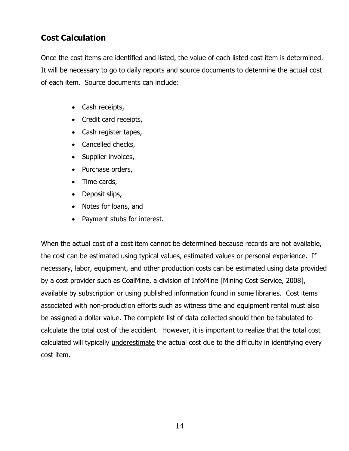## <span id="page-18-0"></span>**Cost Calculation**

Once the cost items are identified and listed, the value of each listed cost item is determined. It will be necessary to go to daily reports and source documents to determine the actual cost of each item. Source documents can include:

- Cash receipts,
- Credit card receipts,
- Cash register tapes,
- Cancelled checks,
- Supplier invoices,
- Purchase orders,
- Time cards,
- Deposit slips,
- Notes for loans, and
- Payment stubs for interest.

When the actual cost of a cost item cannot be determined because records are not available, the cost can be estimated using typical values, estimated values or personal experience. If necessary, labor, equipment, and other production costs can be estimated using data provided by a cost provider such as CoalMine, a division of InfoMine [Mining Cost Service, 2008], available by subscription or using published information found in some libraries. Cost items associated with non-production efforts such as witness time and equipment rental must also be assigned a dollar value. The complete list of data collected should then be tabulated to calculate the total cost of the accident. However, it is important to realize that the total cost calculated will typically underestimate the actual cost due to the difficulty in identifying every cost item.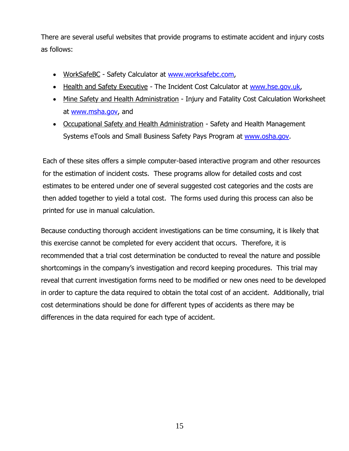There are several useful websites that provide programs to estimate accident and injury costs as follows:

- WorkSafeBC Safety Calculator at [www.worksafebc.com,](http://www.worksafebc.com/)
- Health and Safety Executive The Incident Cost Calculator at [www.hse.gov.uk,](http://www.hse.gov.uk/)
- Mine Safety and Health Administration Injury and Fatality Cost Calculation Worksheet at [www.msha.gov,](http://www.msha.gov/) and
- Occupational Safety and Health Administration Safety and Health Management Systems eTools and Small Business Safety Pays Program at [www.osha.gov.](http://www.osha.gov/)

Each of these sites offers a simple computer-based interactive program and other resources for the estimation of incident costs. These programs allow for detailed costs and cost estimates to be entered under one of several suggested cost categories and the costs are then added together to yield a total cost. The forms used during this process can also be printed for use in manual calculation.

Because conducting thorough accident investigations can be time consuming, it is likely that this exercise cannot be completed for every accident that occurs. Therefore, it is recommended that a trial cost determination be conducted to reveal the nature and possible shortcomings in the company's investigation and record keeping procedures. This trial may reveal that current investigation forms need to be modified or new ones need to be developed in order to capture the data required to obtain the total cost of an accident. Additionally, trial cost determinations should be done for different types of accidents as there may be differences in the data required for each type of accident.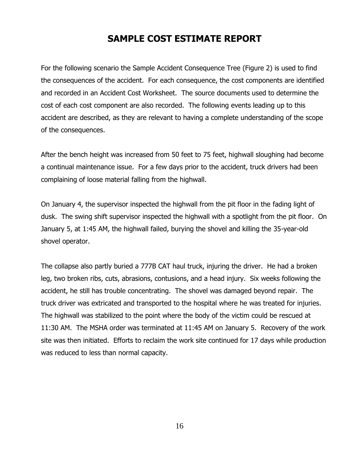# **SAMPLE COST ESTIMATE REPORT**

<span id="page-20-0"></span>For the following scenario the Sample Accident Consequence Tree (Figure 2) is used to find the consequences of the accident. For each consequence, the cost components are identified and recorded in an Accident Cost Worksheet. The source documents used to determine the cost of each cost component are also recorded. The following events leading up to this accident are described, as they are relevant to having a complete understanding of the scope of the consequences.

After the bench height was increased from 50 feet to 75 feet, highwall sloughing had become a continual maintenance issue. For a few days prior to the accident, truck drivers had been complaining of loose material falling from the highwall.

On January 4, the supervisor inspected the highwall from the pit floor in the fading light of dusk. The swing shift supervisor inspected the highwall with a spotlight from the pit floor. On January 5, at 1:45 AM, the highwall failed, burying the shovel and killing the 35-year-old shovel operator.

The collapse also partly buried a 777B CAT haul truck, injuring the driver. He had a broken leg, two broken ribs, cuts, abrasions, contusions, and a head injury. Six weeks following the accident, he still has trouble concentrating. The shovel was damaged beyond repair. The truck driver was extricated and transported to the hospital where he was treated for injuries. The highwall was stabilized to the point where the body of the victim could be rescued at 11:30 AM. The MSHA order was terminated at 11:45 AM on January 5. Recovery of the work site was then initiated. Efforts to reclaim the work site continued for 17 days while production was reduced to less than normal capacity.

16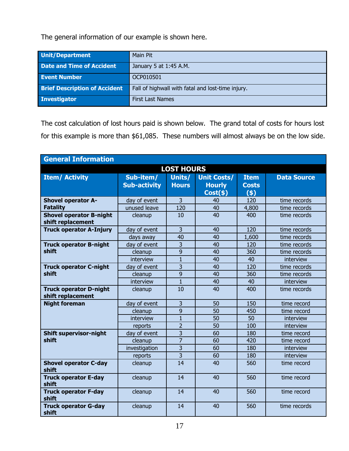The general information of our example is shown here.

| Unit/Department                      | Main Pit                                          |
|--------------------------------------|---------------------------------------------------|
| <b>Date and Time of Accident</b>     | January 5 at 1:45 A.M.                            |
| <b>Event Number</b>                  | OCP010501                                         |
| <b>Brief Description of Accident</b> | Fall of highwall with fatal and lost-time injury. |
| Investigator                         | <b>First Last Names</b>                           |

The cost calculation of lost hours paid is shown below. The grand total of costs for hours lost for this example is more than \$61,085. These numbers will almost always be on the low side.

| <b>General Information</b>                          |                     |                |                    |              |                    |  |
|-----------------------------------------------------|---------------------|----------------|--------------------|--------------|--------------------|--|
| <b>LOST HOURS</b>                                   |                     |                |                    |              |                    |  |
| <b>Item/ Activity</b>                               | Sub-item/           | Units/         | <b>Unit Costs/</b> | <b>Item</b>  | <b>Data Source</b> |  |
|                                                     | <b>Sub-activity</b> | <b>Hours</b>   | <b>Hourly</b>      | <b>Costs</b> |                    |  |
|                                                     |                     |                | Cost(\$)           | (5)          |                    |  |
| <b>Shovel operator A-</b>                           | day of event        | $\overline{3}$ | 40                 | 120          | time records       |  |
| <b>Fatality</b>                                     | unused leave        | 120            | 40                 | 4,800        | time records       |  |
| <b>Shovel operator B-night</b><br>shift replacement | cleanup             | 10             | 40                 | 400          | time records       |  |
| <b>Truck operator A-Injury</b>                      | day of event        | $\overline{3}$ | 40                 | 120          | time records       |  |
|                                                     | days away           | 40             | 40                 | 1,600        | time records       |  |
| <b>Truck operator B-night</b>                       | day of event        | $\overline{3}$ | 40                 | 120          | time records       |  |
| shift                                               | cleanup             | 9              | 40                 | 360          | time records       |  |
|                                                     | interview           | $\mathbf{1}$   | 40                 | 40           | interview          |  |
| <b>Truck operator C-night</b>                       | day of event        | 3              | 40                 | 120          | time records       |  |
| shift                                               | cleanup             | 9              | 40                 | 360          | time records       |  |
|                                                     | interview           | $\mathbf{1}$   | 40                 | 40           | interview          |  |
| <b>Truck operator D-night</b><br>shift replacement  | cleanup             | 10             | 40                 | 400          | time records       |  |
| <b>Night foreman</b>                                | day of event        | $\overline{3}$ | 50                 | 150          | time record        |  |
|                                                     | cleanup             | 9              | 50                 | 450          | time record        |  |
|                                                     | interview           | $\mathbf{1}$   | 50                 | 50           | interview          |  |
|                                                     | reports             | $\overline{2}$ | 50                 | 100          | interview          |  |
| <b>Shift supervisor-night</b>                       | day of event        | $\overline{3}$ | 60                 | 180          | time record        |  |
| shift                                               | cleanup             | $\overline{7}$ | 60                 | 420          | time record        |  |
|                                                     | investigation       | 3              | 60                 | 180          | interview          |  |
|                                                     | reports             | $\overline{3}$ | 60                 | 180          | interview          |  |
| <b>Shovel operator C-day</b><br>shift               | cleanup             | 14             | 40                 | 560          | time record        |  |
| <b>Truck operator E-day</b><br>shift                | cleanup             | 14             | 40                 | 560          | time record        |  |
| <b>Truck operator F-day</b><br>shift                | cleanup             | 14             | 40                 | 560          | time record        |  |
| <b>Truck operator G-day</b><br>shift                | cleanup             | 14             | 40                 | 560          | time records       |  |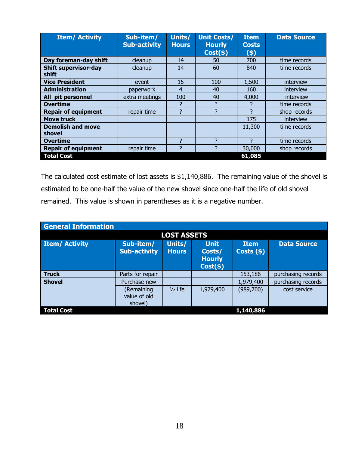| <b>Item/ Activity</b>                | Sub-item/<br><b>Sub-activity</b> | Units/<br><b>Hours</b> | <b>Unit Costs/</b><br><b>Hourly</b><br>Cost(s) | <b>Item</b><br><b>Costs</b><br>$($ \$) | <b>Data Source</b> |
|--------------------------------------|----------------------------------|------------------------|------------------------------------------------|----------------------------------------|--------------------|
| Day foreman-day shift                | cleanup                          | 14                     | 50                                             | 700                                    | time records       |
| <b>Shift supervisor-day</b><br>shift | cleanup                          | 14                     | 60                                             | 840                                    | time records       |
| <b>Vice President</b>                | event                            | 15                     | 100                                            | 1,500                                  | interview          |
| <b>Administration</b>                | paperwork                        | $\overline{4}$         | 40                                             | 160                                    | interview          |
| All pit personnel                    | extra meetings                   | 100                    | 40                                             | 4,000                                  | interview          |
| <b>Overtime</b>                      |                                  | ?                      | 7                                              |                                        | time records       |
| <b>Repair of equipment</b>           | repair time                      | 7                      | 7                                              | 7                                      | shop records       |
| <b>Move truck</b>                    |                                  |                        |                                                | 175                                    | interview          |
| <b>Demolish and move</b><br>shovel   |                                  |                        |                                                | 11,300                                 | time records       |
| <b>Overtime</b>                      |                                  | 7                      | っ                                              | 7                                      | time records       |
| <b>Repair of equipment</b>           | repair time                      | $\overline{2}$         |                                                | 30,000                                 | shop records       |
| <b>Total Cost</b>                    |                                  |                        |                                                | 61,085                                 |                    |

The calculated cost estimate of lost assets is \$1,140,886. The remaining value of the shovel is estimated to be one-half the value of the new shovel since one-half the life of old shovel remained. This value is shown in parentheses as it is a negative number.

| <b>General Information</b> |                                       |                        |                                                          |                             |                    |
|----------------------------|---------------------------------------|------------------------|----------------------------------------------------------|-----------------------------|--------------------|
|                            |                                       | <b>LOST ASSETS</b>     |                                                          |                             |                    |
| <b>Item/ Activity</b>      | Sub-item/<br><b>Sub-activity</b>      | Units/<br><b>Hours</b> | <b>Unit</b><br>Costs/<br><b>Hourly</b><br>$Cost($ \$ $)$ | <b>Item</b><br>$Costs($ \$) | <b>Data Source</b> |
| <b>Truck</b>               | Parts for repair                      |                        |                                                          | 153,186                     | purchasing records |
| <b>Shovel</b>              | Purchase new                          |                        |                                                          | 1,979,400                   | purchasing records |
|                            | (Remaining<br>value of old<br>shovel) | $1/2$ life             | 1,979,400                                                | (989,700)                   | cost service       |
| <b>Total Cost</b>          |                                       |                        |                                                          | 1,140,886                   |                    |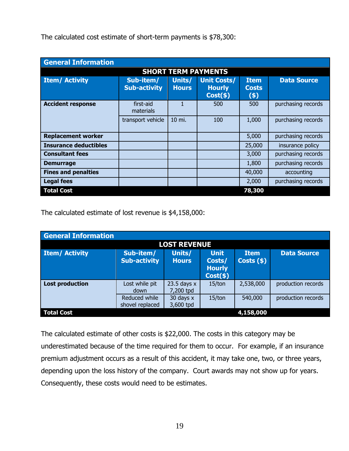| <b>General Information</b>   |                                  |                        |                                                    |                                      |                    |  |
|------------------------------|----------------------------------|------------------------|----------------------------------------------------|--------------------------------------|--------------------|--|
| <b>SHORT TERM PAYMENTS</b>   |                                  |                        |                                                    |                                      |                    |  |
| <b>Item/ Activity</b>        | Sub-item/<br><b>Sub-activity</b> | Units/<br><b>Hours</b> | <b>Unit Costs/</b><br><b>Hourly</b><br>$Cost($ \$) | <b>Item</b><br><b>Costs</b><br>$(*)$ | <b>Data Source</b> |  |
| <b>Accident response</b>     | first-aid<br>materials           |                        | 500                                                | 500                                  | purchasing records |  |
|                              | transport vehicle                | 10 mi.                 | 100                                                | 1,000                                | purchasing records |  |
| <b>Replacement worker</b>    |                                  |                        |                                                    | 5,000                                | purchasing records |  |
| <b>Insurance deductibles</b> |                                  |                        |                                                    | 25,000                               | insurance policy   |  |
| <b>Consultant fees</b>       |                                  |                        |                                                    | 3,000                                | purchasing records |  |
| <b>Demurrage</b>             |                                  |                        |                                                    | 1,800                                | purchasing records |  |
| <b>Fines and penalties</b>   |                                  |                        |                                                    | 40,000                               | accounting         |  |
| <b>Legal fees</b>            |                                  |                        |                                                    | 2,000                                | purchasing records |  |
| <b>Total Cost</b>            |                                  |                        |                                                    | 78,300                               |                    |  |

The calculated cost estimate of short-term payments is \$78,300:

The calculated estimate of lost revenue is \$4,158,000:

| <b>General Information</b> |                                  |                            |                                                       |                             |                    |
|----------------------------|----------------------------------|----------------------------|-------------------------------------------------------|-----------------------------|--------------------|
|                            |                                  | <b>LOST REVENUE</b>        |                                                       |                             |                    |
| <b>Item/Activity</b>       | Sub-item/<br><b>Sub-activity</b> | Units/<br><b>Hours</b>     | <b>Unit</b><br>Costs/<br><b>Hourly</b><br>$Cost(\$))$ | <b>Item</b><br>$Costs($ \$) | <b>Data Source</b> |
| <b>Lost production</b>     | Lost while pit<br>down           | 23.5 days $x$<br>7,200 tpd | 15/ton                                                | 2,538,000                   | production records |
|                            | Reduced while<br>shovel replaced | 30 days x<br>3,600 tpd     | 15/ton                                                | 540,000                     | production records |
| <b>Total Cost</b>          |                                  |                            |                                                       | 4,158,000                   |                    |

The calculated estimate of other costs is \$22,000. The costs in this category may be underestimated because of the time required for them to occur. For example, if an insurance premium adjustment occurs as a result of this accident, it may take one, two, or three years, depending upon the loss history of the company. Court awards may not show up for years. Consequently, these costs would need to be estimates.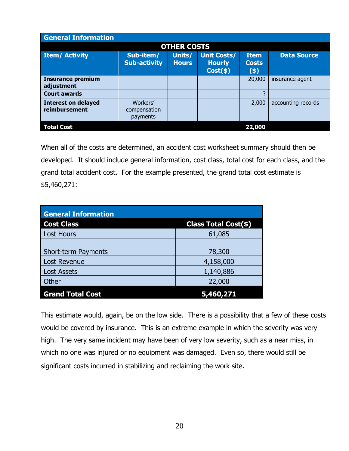| <b>General Information</b>                  |                                      |                        |                                                    |                                        |                    |
|---------------------------------------------|--------------------------------------|------------------------|----------------------------------------------------|----------------------------------------|--------------------|
|                                             |                                      | <b>OTHER COSTS</b>     |                                                    |                                        |                    |
| <b>Item/ Activity</b>                       | Sub-item/<br><b>Sub-activity</b>     | Units/<br><b>Hours</b> | <b>Unit Costs/</b><br><b>Hourly</b><br>$Cost($ \$) | <b>Item</b><br><b>Costs</b><br>$($ \$) | <b>Data Source</b> |
| <b>Insurance premium</b><br>adjustment      |                                      |                        |                                                    | 20,000                                 | insurance agent    |
| <b>Court awards</b>                         |                                      |                        |                                                    |                                        |                    |
| <b>Interest on delayed</b><br>reimbursement | Workers'<br>compensation<br>payments |                        |                                                    | 2,000                                  | accounting records |
| <b>Total Cost</b>                           |                                      |                        |                                                    | 22,000                                 |                    |

When all of the costs are determined, an accident cost worksheet summary should then be developed. It should include general information, cost class, total cost for each class, and the grand total accident cost. For the example presented, the grand total cost estimate is \$5,460,271:

| <b>General Information</b> |                      |  |  |  |  |
|----------------------------|----------------------|--|--|--|--|
| <b>Cost Class</b>          | Class Total Cost(\$) |  |  |  |  |
| <b>Lost Hours</b>          | 61,085               |  |  |  |  |
|                            |                      |  |  |  |  |
| <b>Short-term Payments</b> | 78,300               |  |  |  |  |
| Lost Revenue               | 4,158,000            |  |  |  |  |
| <b>Lost Assets</b>         | 1,140,886            |  |  |  |  |
| Other                      | 22,000               |  |  |  |  |
| <b>Grand Total Cost</b>    |                      |  |  |  |  |

This estimate would, again, be on the low side. There is a possibility that a few of these costs would be covered by insurance. This is an extreme example in which the severity was very high. The very same incident may have been of very low severity, such as a near miss, in which no one was injured or no equipment was damaged. Even so, there would still be significant costs incurred in stabilizing and reclaiming the work site.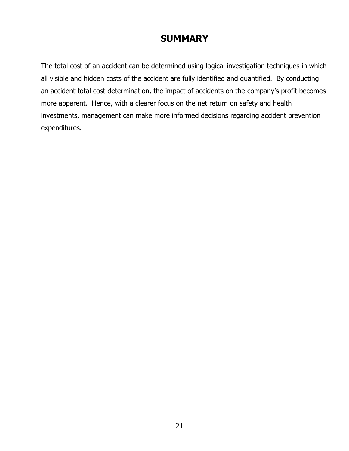# **SUMMARY**

<span id="page-25-0"></span>The total cost of an accident can be determined using logical investigation techniques in which all visible and hidden costs of the accident are fully identified and quantified. By conducting an accident total cost determination, the impact of accidents on the company's profit becomes more apparent. Hence, with a clearer focus on the net return on safety and health investments, management can make more informed decisions regarding accident prevention expenditures.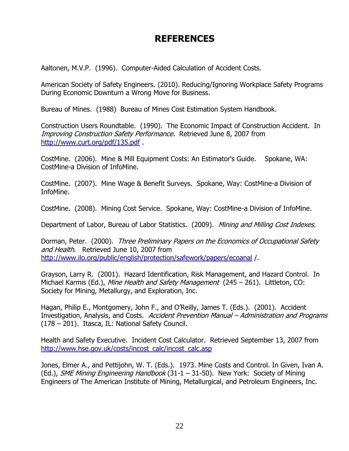# **REFERENCES**

<span id="page-26-0"></span>Aaltonen, M.V.P. (1996). Computer-Aided Calculation of Accident Costs.

American Society of Safety Engineers. (2010). Reducing/Ignoring Workplace Safety Programs During Economic Downturn a Wrong Move for Business.

Bureau of Mines. (1988) Bureau of Mines Cost Estimation System Handbook.

Construction Users Roundtable. (1990). The Economic Impact of Construction Accident. In Improving Construction Safety Performance. Retrieved June 8, 2007 from <http://www.curt.org/pdf/135.pdf> .

CostMine. (2006). Mine & Mill Equipment Costs: An Estimator's Guide. Spokane, WA: CostMine-a Division of InfoMine.

CostMine. (2007). Mine Wage & Benefit Surveys. Spokane, Way: CostMine-a Division of InfoMine.

CostMine. (2008). Mining Cost Service. Spokane, Way: CostMine-a Division of InfoMine.

Department of Labor, Bureau of Labor Statistics. (2009). Mining and Milling Cost Indexes.

Dorman, Peter. (2000). Three Preliminary Papers on the Economics of Occupational Safety and Health. Retrieved June 10, 2007 from <http://www.ilo.org/public/english/protection/safework/papers/ecoanal> /.

Grayson, Larry R. (2001). Hazard Identification, Risk Management, and Hazard Control. In Michael Karmis (Ed.), Mine Health and Safety Management (245 – 261). Littleton, CO: Society for Mining, Metallurgy, and Exploration, Inc.

Hagan, Philip E., Montgomery, John F., and O'Reilly, James T. (Eds.). (2001). Accident Investigation, Analysis, and Costs. Accident Prevention Manual – Administration and Programs (178 – 201). Itasca, IL: National Safety Council.

Health and Safety Executive. Incident Cost Calculator. Retrieved September 13, 2007 from [http://www.hse.gov.uk/costs/incost\\_calc/incost\\_calc.asp](http://www.hse.gov.uk/costs/incost_calc/incost_calc.asp)

Jones, Elmer A., and Pettijohn, W. T. (Eds.). 1973. Mine Costs and Control. In Given, Ivan A. (Ed.), SME Mining Engineering Handbook (31-1 - 31-50). New York: Society of Mining Engineers of The American Institute of Mining, Metallurgical, and Petroleum Engineers, Inc.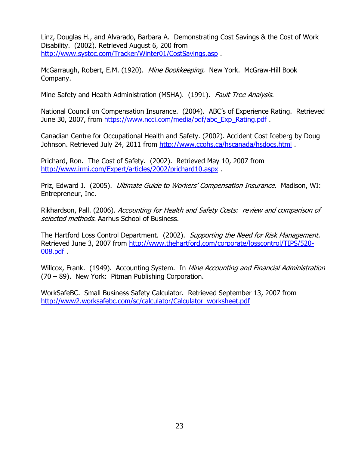Linz, Douglas H., and Alvarado, Barbara A. Demonstrating Cost Savings & the Cost of Work Disability. (2002). Retrieved August 6, 200 from <http://www.systoc.com/Tracker/Winter01/CostSavings.asp> .

McGarraugh, Robert, E.M. (1920). Mine Bookkeeping. New York. McGraw-Hill Book Company.

Mine Safety and Health Administration (MSHA). (1991). Fault Tree Analysis.

National Council on Compensation Insurance. (2004). ABC's of Experience Rating. Retrieved June 30, 2007, from [https://www.ncci.com/media/pdf/abc\\_Exp\\_Rating.pdf](https://www.ncci.com/media/pdf/abc_Exp_Rating.pdf) .

Canadian Centre for Occupational Health and Safety. (2002). Accident Cost Iceberg by Doug Johnson. Retrieved July 24, 2011 from<http://www.ccohs.ca/hscanada/hsdocs.html> .

Prichard, Ron. The Cost of Safety. (2002). Retrieved May 10, 2007 from <http://www.irmi.com/Expert/articles/2002/prichard10.aspx> .

Priz, Edward J. (2005). *Ultimate Guide to Workers' Compensation Insurance*. Madison, WI: Entrepreneur, Inc.

Rikhardson, Pall. (2006). Accounting for Health and Safety Costs: review and comparison of selected methods. Aarhus School of Business.

The Hartford Loss Control Department. (2002). Supporting the Need for Risk Management. Retrieved June 3, 2007 from [http://www.thehartford.com/corporate/losscontrol/TIPS/520-](http://www.thehartford.com/corporate/losscontrol/TIPS/520-008.pdf) [008.pdf](http://www.thehartford.com/corporate/losscontrol/TIPS/520-008.pdf) .

Willcox, Frank. (1949). Accounting System. In Mine Accounting and Financial Administration (70 – 89). New York: Pitman Publishing Corporation.

WorkSafeBC. Small Business Safety Calculator. Retrieved September 13, 2007 from [http://www2.worksafebc.com/sc/calculator/Calculator\\_worksheet.pdf](http://www2.worksafebc.com/sc/calculator/Calculator_worksheet.pdf)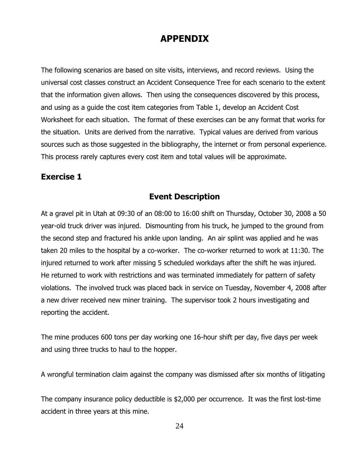## **APPENDIX**

<span id="page-28-0"></span>The following scenarios are based on site visits, interviews, and record reviews. Using the universal cost classes construct an Accident Consequence Tree for each scenario to the extent that the information given allows. Then using the consequences discovered by this process, and using as a guide the cost item categories from Table 1, develop an Accident Cost Worksheet for each situation. The format of these exercises can be any format that works for the situation. Units are derived from the narrative. Typical values are derived from various sources such as those suggested in the bibliography, the internet or from personal experience. This process rarely captures every cost item and total values will be approximate.

#### <span id="page-28-1"></span>**Exercise 1**

#### **Event Description**

At a gravel pit in Utah at 09:30 of an 08:00 to 16:00 shift on Thursday, October 30, 2008 a 50 year-old truck driver was injured. Dismounting from his truck, he jumped to the ground from the second step and fractured his ankle upon landing. An air splint was applied and he was taken 20 miles to the hospital by a co-worker. The co-worker returned to work at 11:30. The injured returned to work after missing 5 scheduled workdays after the shift he was injured. He returned to work with restrictions and was terminated immediately for pattern of safety violations. The involved truck was placed back in service on Tuesday, November 4, 2008 after a new driver received new miner training. The supervisor took 2 hours investigating and reporting the accident.

The mine produces 600 tons per day working one 16-hour shift per day, five days per week and using three trucks to haul to the hopper.

A wrongful termination claim against the company was dismissed after six months of litigating

The company insurance policy deductible is \$2,000 per occurrence. It was the first lost-time accident in three years at this mine.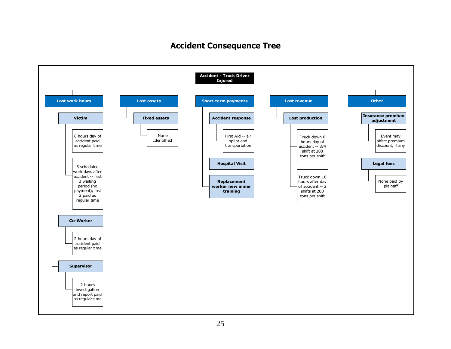## **Accident Consequence Tree**

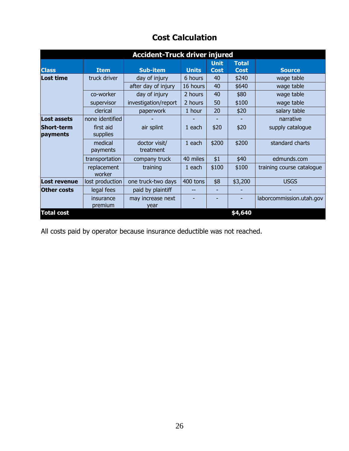| <b>Accident-Truck driver injured</b> |                       |                            |              |                              |                             |                           |  |  |  |  |
|--------------------------------------|-----------------------|----------------------------|--------------|------------------------------|-----------------------------|---------------------------|--|--|--|--|
| <b>Class</b>                         | <b>Item</b>           | <b>Sub-item</b>            | <b>Units</b> | <b>Unit</b><br><b>Cost</b>   | <b>Total</b><br><b>Cost</b> | <b>Source</b>             |  |  |  |  |
| Lost time                            | truck driver          | day of injury              | 6 hours      | 40                           | \$240                       | wage table                |  |  |  |  |
|                                      |                       | after day of injury        | 16 hours     | 40                           | \$640                       | wage table                |  |  |  |  |
|                                      | co-worker             | day of injury              | 2 hours      | 40                           | \$80                        | wage table                |  |  |  |  |
|                                      | supervisor            | investigation/report       | 2 hours      | 50                           | \$100                       | wage table                |  |  |  |  |
|                                      | clerical              | paperwork                  | 1 hour       | 20                           | \$20                        | salary table              |  |  |  |  |
| <b>Lost assets</b>                   | none identified       |                            |              |                              |                             | narrative                 |  |  |  |  |
| <b>Short-term</b><br>payments        | first aid<br>supplies | air splint                 | 1 each       | \$20                         | \$20                        | supply catalogue          |  |  |  |  |
|                                      | medical<br>payments   | doctor visit/<br>treatment | 1 each       | \$200                        | \$200                       | standard charts           |  |  |  |  |
|                                      | transportation        | company truck              | 40 miles     | \$1                          | \$40                        | edmunds.com               |  |  |  |  |
|                                      | replacement<br>worker | training                   | 1 each       | \$100                        | \$100                       | training course catalogue |  |  |  |  |
| Lost revenue                         | lost production       | one truck-two days         | 400 tons     | \$8                          | \$3,200                     | <b>USGS</b>               |  |  |  |  |
| <b>Other costs</b>                   | legal fees            | paid by plaintiff          | --           | $\qquad \qquad \blacksquare$ |                             |                           |  |  |  |  |
|                                      | insurance<br>premium  | may increase next<br>year  |              |                              |                             | laborcommission.utah.gov  |  |  |  |  |
| <b>Total cost</b>                    |                       |                            |              |                              | \$4,640                     |                           |  |  |  |  |

# **Cost Calculation**

All costs paid by operator because insurance deductible was not reached.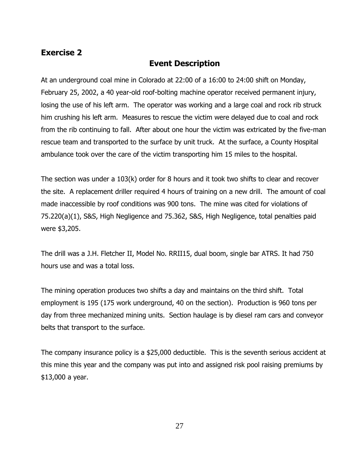#### <span id="page-31-0"></span>**Exercise 2**

## **Event Description**

At an underground coal mine in Colorado at 22:00 of a 16:00 to 24:00 shift on Monday, February 25, 2002, a 40 year-old roof-bolting machine operator received permanent injury, losing the use of his left arm. The operator was working and a large coal and rock rib struck him crushing his left arm. Measures to rescue the victim were delayed due to coal and rock from the rib continuing to fall. After about one hour the victim was extricated by the five-man rescue team and transported to the surface by unit truck. At the surface, a County Hospital ambulance took over the care of the victim transporting him 15 miles to the hospital.

The section was under a 103(k) order for 8 hours and it took two shifts to clear and recover the site. A replacement driller required 4 hours of training on a new drill. The amount of coal made inaccessible by roof conditions was 900 tons. The mine was cited for violations of 75.220(a)(1), S&S, High Negligence and 75.362, S&S, High Negligence, total penalties paid were \$3,205.

The drill was a J.H. Fletcher II, Model No. RRII15, dual boom, single bar ATRS. It had 750 hours use and was a total loss.

The mining operation produces two shifts a day and maintains on the third shift. Total employment is 195 (175 work underground, 40 on the section). Production is 960 tons per day from three mechanized mining units. Section haulage is by diesel ram cars and conveyor belts that transport to the surface.

The company insurance policy is a \$25,000 deductible. This is the seventh serious accident at this mine this year and the company was put into and assigned risk pool raising premiums by \$13,000 a year.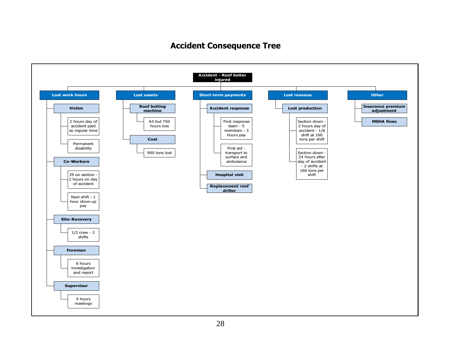## **Accident Consequence Tree**